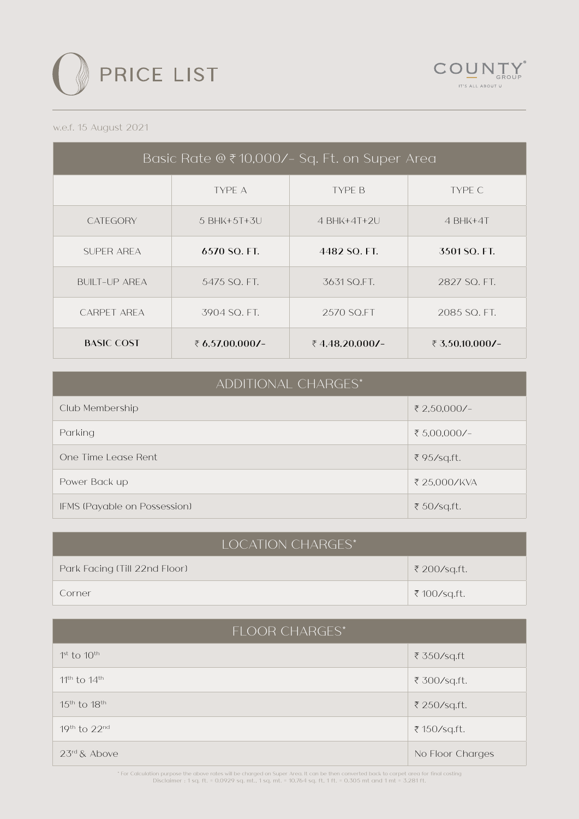



## w.e.f. 15 August 2021

| Basic Rate @ ₹10,000/- Sq. Ft. on Super Area |                 |                |                 |
|----------------------------------------------|-----------------|----------------|-----------------|
|                                              | TYPE A          | <b>TYPE B</b>  | TYPE C          |
| <b>CATEGORY</b>                              | 5 BHK+5T+3U     | $4$ BHK+4T+2U  | $4$ BHK+4T      |
| SUPER AREA                                   | $6570$ SO. FT.  | 4482 SO. FT.   | 3501 SO. FT.    |
| <b>BUILT-UP AREA</b>                         | 5475 SO. FT.    | 3631 SO.FT.    | 2827 SO, FT.    |
| CARPET AREA                                  | 3904 SO, FT.    | 2570 SO.FT     | 2085 SO, FT.    |
| <b>BASIC COST</b>                            | ₹ 6.57.00.000/- | ₹4.48.20.000/- | ₹ 3.50.10.000/- |

|  | <b>ADDITIONAL CHARGES*</b> |
|--|----------------------------|
|  |                            |

| Club Membership              | ₹ 2,50,000/− |
|------------------------------|--------------|
| Parking                      | ₹ 5,00,000/- |
| One Time Lease Rent          | ₹95/sq.ft.   |
| Power Back up                | ₹ 25,000/KVA |
| IFMS (Payable on Possession) | ₹ 50/sq.ft.  |

| <b>LOCATION CHARGES*</b>      |              |  |
|-------------------------------|--------------|--|
| Park Facing (Till 22nd Floor) | ₹ 200/sq.ft. |  |
| Corner                        | ₹ 100/sq.ft. |  |

| <b>FLOOR CHARGES*</b> |                  |  |
|-----------------------|------------------|--|
| $1st$ to $10th$       | ₹ 350/sq.ft      |  |
| $11th$ to $14th$      | ₹ 300/sq.ft.     |  |
| $15th$ to $18th$      | ₹ 250/sq.ft.     |  |
| $19th$ to $22nd$      | ₹ 150/sq.ft.     |  |
| $23rd$ & Above        | No Floor Charges |  |

For Calculation purpose the above rates will be charged on Super Area. It can be then converted back to carpet area for final costing \*<br>Disclaimer : 1 sq. ft. = 0.0929 sq. mt., 1 sq. mt. = 10.764 sq. ft, 1 ft. = 0.305 mt a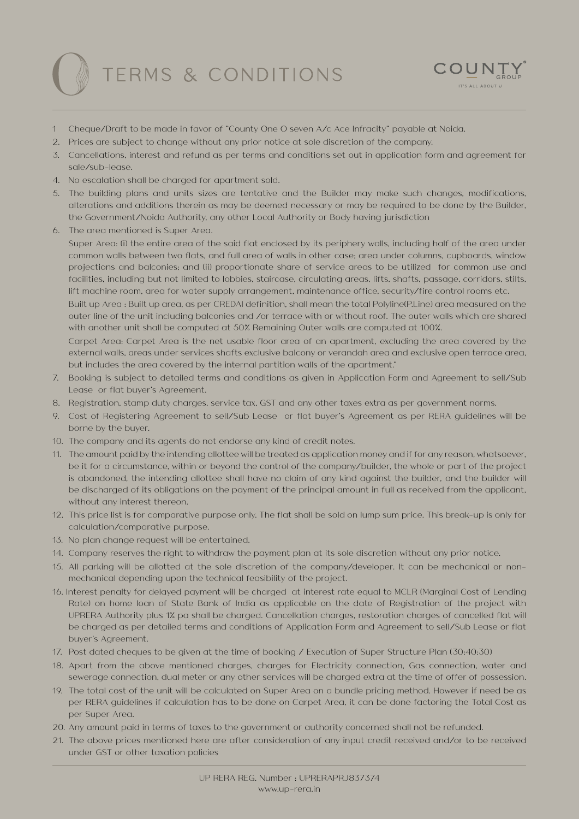## TERMS & CONDITIONS



- 1 Cheque/Draft to be made in favor of "County One O seven A/c Ace Infracity" payable at Noida.
- 2. Prices are subject to change without any prior notice at sole discretion of the company.
- 3. Cancellations, interest and refund as per terms and conditions set out in application form and agreement for sale/sub-lease.
- 4. No escalation shall be charged for apartment sold.
- 5. The building plans and units sizes are tentative and the Builder may make such changes, modifications, alterations and additions therein as may be deemed necessary or may be required to be done by the Builder, the Government/Noida Authority, any other Local Authority or Body having jurisdiction
- 6. The area mentioned is Super Area.

Super Area: (i) the entire area of the said flat enclosed by its periphery walls, including half of the area under common walls between two flats, and full area of walls in other case; area under columns, cupboards, window projections and balconies; and (ii) proportionate share of service areas to be utilized for common use and facilities, including but not limited to lobbies, staircase, circulating areas, lifts, shafts, passage, corridors, stilts, lift machine room, area for water supply arrangement, maintenance office, security/fire control rooms etc.

Built up Area : Built up area, as per CREDAI definition, shall mean the total Polyline(P.Line) area measured on the outer line of the unit including balconies and /or terrace with or without roof. The outer walls which are shared with another unit shall be computed at 50% Remaining Outer walls are computed at 100%.

Carpet Area: Carpet Area is the net usable floor area of an apartment, excluding the area covered by the external walls, areas under services shafts exclusive balcony or verandah area and exclusive open terrace area, but includes the area covered by the internal partition walls of the apartment."

- 7. Booking is subject to detailed terms and conditions as given in Application Form and Agreement to sell/Sub Lease or flat buyer's Agreement.
- 8. Registration, stamp duty charges, service tax, GST and any other taxes extra as per government norms.
- 9. Cost of Registering Agreement to sell/Sub Lease or flat buyer's Agreement as per RERA guidelines will be borne by the buyer.
- 10. The company and its agents do not endorse any kind of credit notes.
- 11. The amount paid by the intending allottee will be treated as application money and if for any reason, whatsoever, be it for a circumstance, within or beyond the control of the company/builder, the whole or part of the project is abandoned, the intending allottee shall have no claim of any kind against the builder, and the builder will be discharged of its obligations on the payment of the principal amount in full as received from the applicant, without any interest thereon.
- 12. This price list is for comparative purpose only. The flat shall be sold on lump sum price. This break-up is only for calculation/comparative purpose.
- 13. No plan change request will be entertained.
- 14. Company reserves the right to withdraw the payment plan at its sole discretion without any prior notice.
- 15. All parking will be allotted at the sole discretion of the company/developer. It can be mechanical or nonmechanical depending upon the technical feasibility of the project.
- 16. Interest penalty for delayed payment will be charged at interest rate equal to MCLR (Marginal Cost of Lending Rate) on home loan of State Bank of India as applicable on the date of Registration of the project with UPRERA Authority plus 1% pa shall be charged. Cancellation charges, restoration charges of cancelled flat will be charged as per detailed terms and conditions of Application Form and Agreement to sell/Sub Lease or flat buyer's Agreement.
- 17. Post dated cheques to be given at the time of booking / Execution of Super Structure Plan (30:40:30)
- 18. Apart from the above mentioned charges, charges for Electricity connection, Gas connection, water and sewerage connection, dual meter or any other services will be charged extra at the time of offer of possession.
- 19. The total cost of the unit will be calculated on Super Area on a bundle pricing method. However if need be as per RERA guidelines if calculation has to be done on Carpet Area, it can be done factoring the Total Cost as per Super Area.
- 20. Any amount paid in terms of taxes to the government or authority concerned shall not be refunded.
- 21. The above prices mentioned here are after consideration of any input credit received and/or to be received under GST or other taxation policies